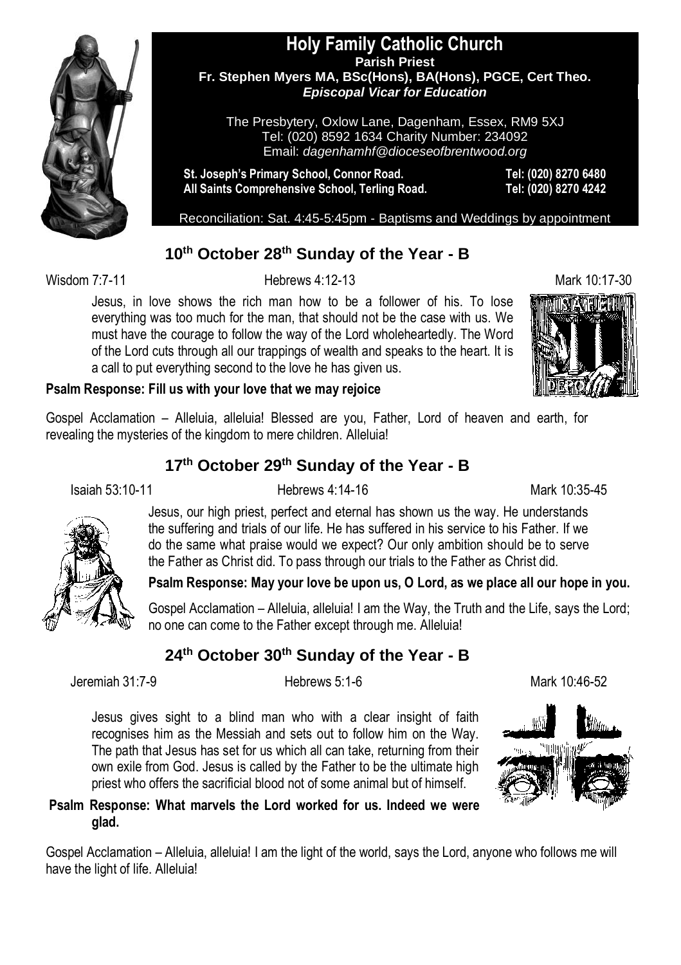

#### **Holy Family Catholic Church Parish Priest Fr. Stephen Myers MA, BSc(Hons), BA(Hons), PGCE, Cert Theo.** *Episcopal Vicar for Education*

The Presbytery, Oxlow Lane, Dagenham, Essex, RM9 5XJ Tel: (020) 8592 1634 Charity Number: 234092 Email: *dagenhamhf@dioceseofbrentwood.org*

**St. Joseph's Primary School, Connor Road. Tel: (020) 8270 6480 All Saints Comprehensive School, Terling Road. Tel: (020) 8270 4242**

Reconciliation: Sat. 4:45-5:45pm - Baptisms and Weddings by appointment

### **10th October 28th Sunday of the Year - B**

Wisdom 7:7-11 **Hebrews 4:12-13** Hebrews 4:12-13

Jesus, in love shows the rich man how to be a follower of his. To lose everything was too much for the man, that should not be the case with us. We must have the courage to follow the way of the Lord wholeheartedly. The Word of the Lord cuts through all our trappings of wealth and speaks to the heart. It is a call to put everything second to the love he has given us.



#### **Psalm Response: Fill us with your love that we may rejoice**

Gospel Acclamation – Alleluia, alleluia! Blessed are you, Father, Lord of heaven and earth, for revealing the mysteries of the kingdom to mere children. Alleluia!

#### **17th October 29 th Sunday of the Year - B**

Isaiah 53:10-11 Hebrews 4:14-16 Mark 10:35-45



Jesus, our high priest, perfect and eternal has shown us the way. He understands the suffering and trials of our life. He has suffered in his service to his Father. If we do the same what praise would we expect? Our only ambition should be to serve the Father as Christ did. To pass through our trials to the Father as Christ did.

#### **Psalm Response: May your love be upon us, O Lord, as we place all our hope in you.**

Gospel Acclamation – Alleluia, alleluia! I am the Way, the Truth and the Life, says the Lord; no one can come to the Father except through me. Alleluia!

## **24th October 30th Sunday of the Year - B**

Jeremiah 31:7-9 Hebrews 5:1-6 Mark 10:46-52

Jesus gives sight to a blind man who with a clear insight of faith recognises him as the Messiah and sets out to follow him on the Way. The path that Jesus has set for us which all can take, returning from their own exile from God. Jesus is called by the Father to be the ultimate high priest who offers the sacrificial blood not of some animal but of himself.



#### **Psalm Response: What marvels the Lord worked for us. Indeed we were glad.**

Gospel Acclamation – Alleluia, alleluia! I am the light of the world, says the Lord, anyone who follows me will have the light of life. Alleluia!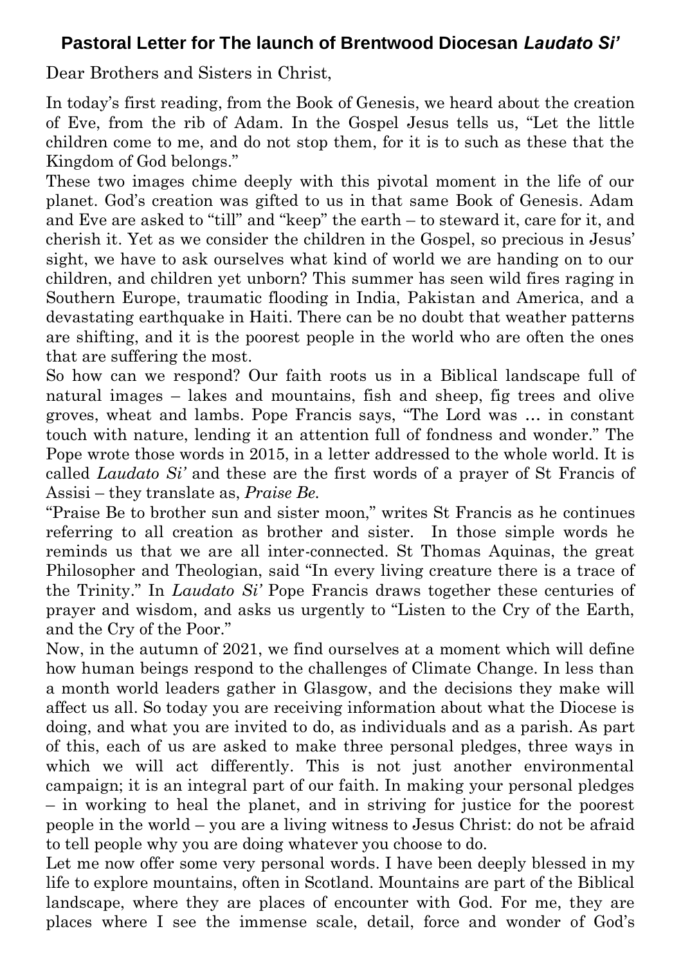## **Pastoral Letter for The launch of Brentwood Diocesan** *Laudato Si'*

Dear Brothers and Sisters in Christ,

In today's first reading, from the Book of Genesis, we heard about the creation of Eve, from the rib of Adam. In the Gospel Jesus tells us, "Let the little children come to me, and do not stop them, for it is to such as these that the Kingdom of God belongs."

These two images chime deeply with this pivotal moment in the life of our planet. God's creation was gifted to us in that same Book of Genesis. Adam and Eve are asked to "till" and "keep" the earth – to steward it, care for it, and cherish it. Yet as we consider the children in the Gospel, so precious in Jesus' sight, we have to ask ourselves what kind of world we are handing on to our children, and children yet unborn? This summer has seen wild fires raging in Southern Europe, traumatic flooding in India, Pakistan and America, and a devastating earthquake in Haiti. There can be no doubt that weather patterns are shifting, and it is the poorest people in the world who are often the ones that are suffering the most.

So how can we respond? Our faith roots us in a Biblical landscape full of natural images – lakes and mountains, fish and sheep, fig trees and olive groves, wheat and lambs. Pope Francis says, "The Lord was … in constant touch with nature, lending it an attention full of fondness and wonder." The Pope wrote those words in 2015, in a letter addressed to the whole world. It is called *Laudato Si'* and these are the first words of a prayer of St Francis of Assisi – they translate as, *Praise Be.*

"Praise Be to brother sun and sister moon," writes St Francis as he continues referring to all creation as brother and sister. In those simple words he reminds us that we are all inter-connected. St Thomas Aquinas, the great Philosopher and Theologian, said "In every living creature there is a trace of the Trinity." In *Laudato Si'* Pope Francis draws together these centuries of prayer and wisdom, and asks us urgently to "Listen to the Cry of the Earth, and the Cry of the Poor."

Now, in the autumn of 2021, we find ourselves at a moment which will define how human beings respond to the challenges of Climate Change. In less than a month world leaders gather in Glasgow, and the decisions they make will affect us all. So today you are receiving information about what the Diocese is doing, and what you are invited to do, as individuals and as a parish. As part of this, each of us are asked to make three personal pledges, three ways in which we will act differently. This is not just another environmental campaign; it is an integral part of our faith. In making your personal pledges – in working to heal the planet, and in striving for justice for the poorest people in the world – you are a living witness to Jesus Christ: do not be afraid to tell people why you are doing whatever you choose to do.

Let me now offer some very personal words. I have been deeply blessed in my life to explore mountains, often in Scotland. Mountains are part of the Biblical landscape, where they are places of encounter with God. For me, they are places where I see the immense scale, detail, force and wonder of God's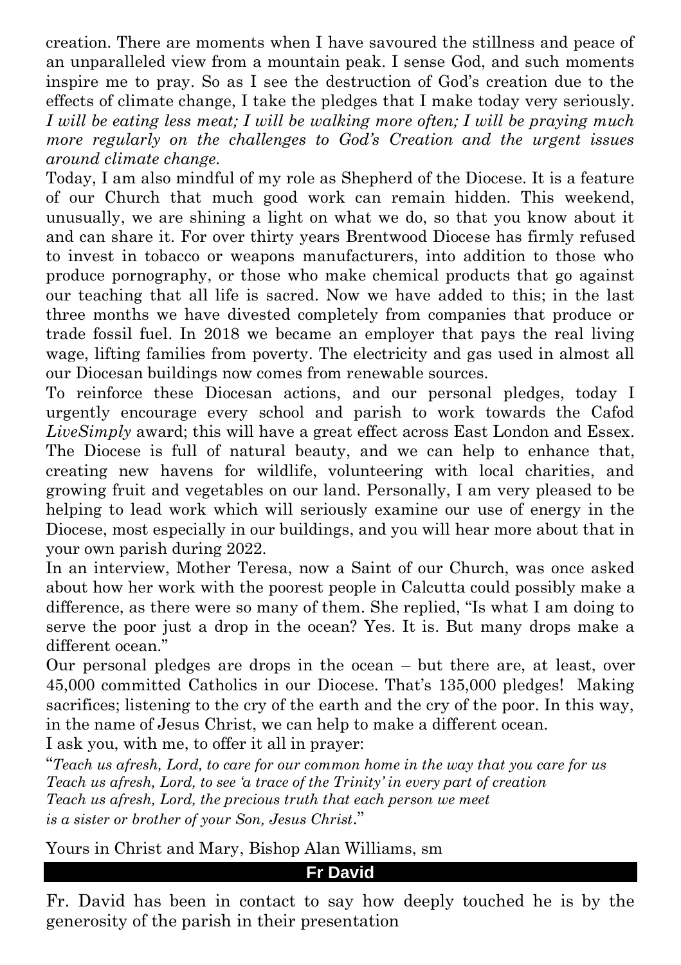creation. There are moments when I have savoured the stillness and peace of an unparalleled view from a mountain peak. I sense God, and such moments inspire me to pray. So as I see the destruction of God's creation due to the effects of climate change, I take the pledges that I make today very seriously. *I will be eating less meat; I will be walking more often; I will be praying much more regularly on the challenges to God's Creation and the urgent issues around climate change.*

Today, I am also mindful of my role as Shepherd of the Diocese. It is a feature of our Church that much good work can remain hidden. This weekend, unusually, we are shining a light on what we do, so that you know about it and can share it. For over thirty years Brentwood Diocese has firmly refused to invest in tobacco or weapons manufacturers, into addition to those who produce pornography, or those who make chemical products that go against our teaching that all life is sacred. Now we have added to this; in the last three months we have divested completely from companies that produce or trade fossil fuel. In 2018 we became an employer that pays the real living wage, lifting families from poverty. The electricity and gas used in almost all our Diocesan buildings now comes from renewable sources.

To reinforce these Diocesan actions, and our personal pledges, today I urgently encourage every school and parish to work towards the Cafod *LiveSimply* award; this will have a great effect across East London and Essex. The Diocese is full of natural beauty, and we can help to enhance that, creating new havens for wildlife, volunteering with local charities, and growing fruit and vegetables on our land. Personally, I am very pleased to be helping to lead work which will seriously examine our use of energy in the Diocese, most especially in our buildings, and you will hear more about that in your own parish during 2022.

In an interview, Mother Teresa, now a Saint of our Church, was once asked about how her work with the poorest people in Calcutta could possibly make a difference, as there were so many of them. She replied, "Is what I am doing to serve the poor just a drop in the ocean? Yes. It is. But many drops make a different ocean."

Our personal pledges are drops in the ocean – but there are, at least, over 45,000 committed Catholics in our Diocese. That's 135,000 pledges! Making sacrifices; listening to the cry of the earth and the cry of the poor. In this way, in the name of Jesus Christ, we can help to make a different ocean.

I ask you, with me, to offer it all in prayer:

"*Teach us afresh, Lord, to care for our common home in the way that you care for us Teach us afresh, Lord, to see 'a trace of the Trinity' in every part of creation Teach us afresh, Lord, the precious truth that each person we meet is a sister or brother of your Son, Jesus Christ*."

Yours in Christ and Mary, Bishop Alan Williams, sm

**Fr David**

Fr. David has been in contact to say how deeply touched he is by the generosity of the parish in their presentation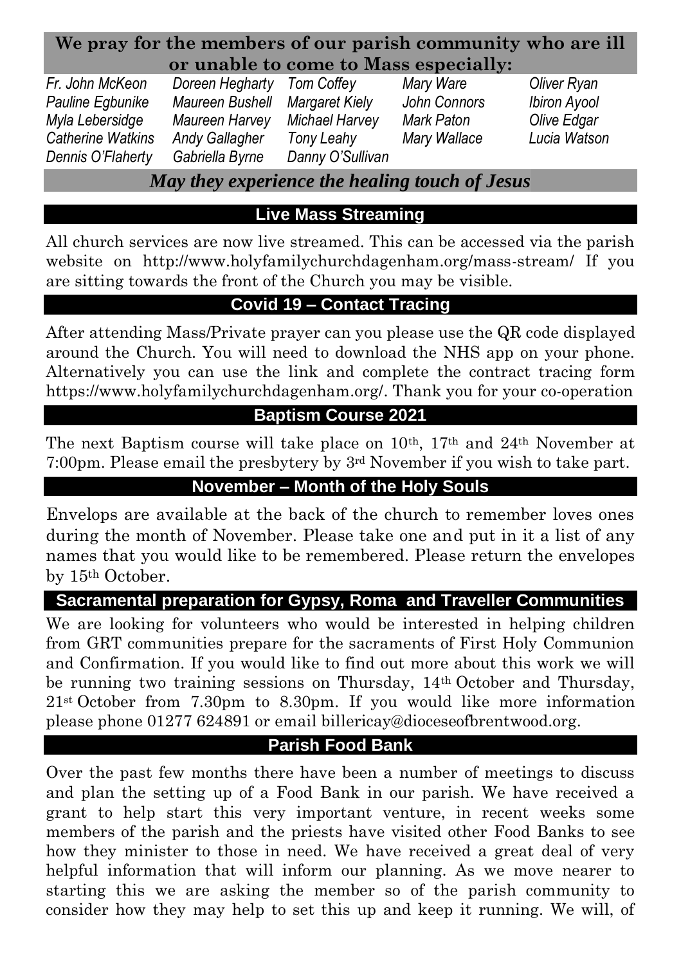### **We pray for the members of our parish community who are ill or unable to come to Mass especially:**

*Fr. John McKeon Doreen Hegharty Tom Coffey Mary Ware Oliver Ryan Pauline Egbunike Maureen Bushell Margaret Kiely John Connors Ibiron Ayool Myla Lebersidge Maureen Harvey Michael Harvey Mark Paton Olive Edgar Catherine Watkins Andy Gallagher Tony Leahy Mary Wallace Lucia Watson Dennis O'Flaherty Gabriella Byrne Danny O'Sullivan*

*May they experience the healing touch of Jesus*

# **Live Mass Streaming**

All church services are now live streamed. This can be accessed via the parish website on http://www.holyfamilychurchdagenham.org/mass-stream/ If you are sitting towards the front of the Church you may be visible.

# **Covid 19 – Contact Tracing**

After attending Mass/Private prayer can you please use the QR code displayed around the Church. You will need to download the NHS app on your phone. Alternatively you can use the link and complete the contract tracing form [https://www.holyfamilychurchdagenham.org/.](https://www.holyfamilychurchdagenham.org/) Thank you for your co-operation

# **Baptism Course 2021**

The next Baptism course will take place on  $10^{th}$ ,  $17^{th}$  and  $24^{th}$  November at 7:00pm. Please email the presbytery by 3rd November if you wish to take part.

# **November – Month of the Holy Souls**

Envelops are available at the back of the church to remember loves ones during the month of November. Please take one and put in it a list of any names that you would like to be remembered. Please return the envelopes by 15th October.

## **Sacramental preparation for Gypsy, Roma and Traveller Communities**

We are looking for volunteers who would be interested in helping children from GRT communities prepare for the sacraments of First Holy Communion and Confirmation. If you would like to find out more about this work we will be running two training sessions on Thursday, 14th October and Thursday, 21st October from 7.30pm to 8.30pm. If you would like more information please phone 01277 624891 or email billericay@dioceseofbrentwood.org.

## **Parish Food Bank**

Over the past few months there have been a number of meetings to discuss and plan the setting up of a Food Bank in our parish. We have received a grant to help start this very important venture, in recent weeks some members of the parish and the priests have visited other Food Banks to see how they minister to those in need. We have received a great deal of very helpful information that will inform our planning. As we move nearer to starting this we are asking the member so of the parish community to consider how they may help to set this up and keep it running. We will, of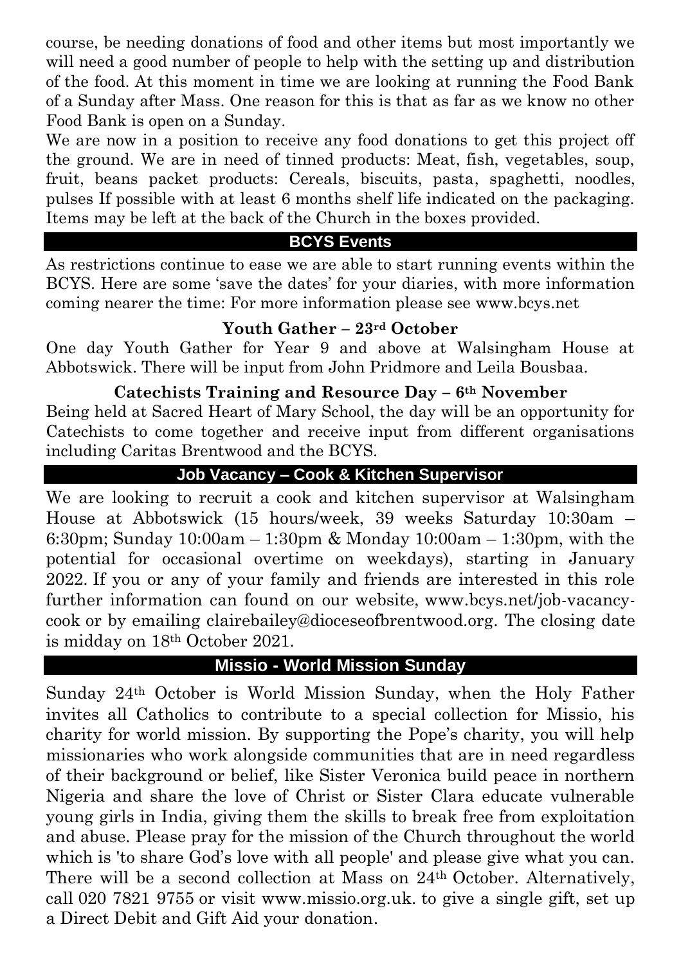course, be needing donations of food and other items but most importantly we will need a good number of people to help with the setting up and distribution of the food. At this moment in time we are looking at running the Food Bank of a Sunday after Mass. One reason for this is that as far as we know no other Food Bank is open on a Sunday.

We are now in a position to receive any food donations to get this project off the ground. We are in need of tinned products: Meat, fish, vegetables, soup, fruit, beans packet products: Cereals, biscuits, pasta, spaghetti, noodles, pulses If possible with at least 6 months shelf life indicated on the packaging. Items may be left at the back of the Church in the boxes provided.

### **BCYS Events**

As restrictions continue to ease we are able to start running events within the BCYS. Here are some 'save the dates' for your diaries, with more information coming nearer the time: For more information please see www.bcys.net

### **Youth Gather – 23rd October**

One day Youth Gather for Year 9 and above at Walsingham House at Abbotswick. There will be input from John Pridmore and Leila Bousbaa.

#### **Catechists Training and Resource Day – 6th November**

Being held at Sacred Heart of Mary School, the day will be an opportunity for Catechists to come together and receive input from different organisations including Caritas Brentwood and the BCYS.

### **Job Vacancy – Cook & Kitchen Supervisor**

We are looking to recruit a cook and kitchen supervisor at Walsingham House at Abbotswick (15 hours/week, 39 weeks Saturday 10:30am – 6:30pm; Sunday 10:00am – 1:30pm & Monday 10:00am – 1:30pm, with the potential for occasional overtime on weekdays), starting in January 2022. If you or any of your family and friends are interested in this role further information can found on our website, www.bcys.net/job-vacancycook or by emailing clairebailey@dioceseofbrentwood.org. The closing date is midday on 18th October 2021.

## **Missio - World Mission Sunday**

Sunday 24th October is World Mission Sunday, when the Holy Father invites all Catholics to contribute to a special collection for Missio, his charity for world mission. By supporting the Pope's charity, you will help missionaries who work alongside communities that are in need regardless of their background or belief, like Sister Veronica build peace in northern Nigeria and share the love of Christ or Sister Clara educate vulnerable young girls in India, giving them the skills to break free from exploitation and abuse. Please pray for the mission of the Church throughout the world which is 'to share God's love with all people' and please give what you can. There will be a second collection at Mass on 24th October. Alternatively, call 020 7821 9755 or visit www.missio.org.uk. to give a single gift, set up a Direct Debit and Gift Aid your donation.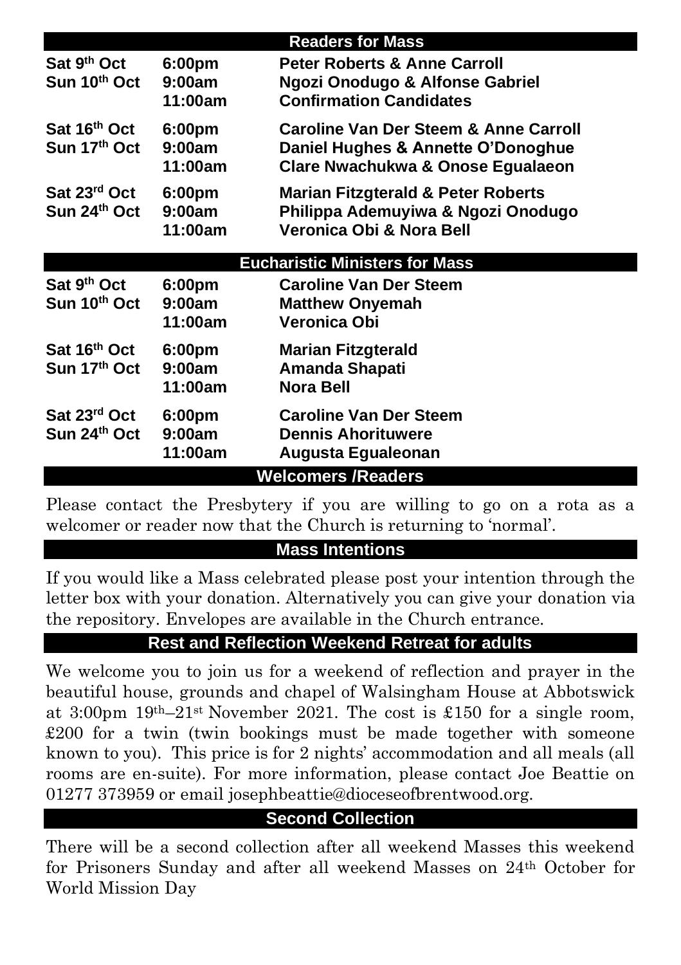|                                       |                    | <b>Readers for Mass</b>                          |  |  |  |  |
|---------------------------------------|--------------------|--------------------------------------------------|--|--|--|--|
| Sat 9 <sup>th</sup> Oct               | 6:00pm             | <b>Peter Roberts &amp; Anne Carroll</b>          |  |  |  |  |
| Sun 10th Oct                          | 9:00am             | <b>Ngozi Onodugo &amp; Alfonse Gabriel</b>       |  |  |  |  |
|                                       | 11:00am            | <b>Confirmation Candidates</b>                   |  |  |  |  |
| Sat 16th Oct                          | 6:00pm             | <b>Caroline Van Der Steem &amp; Anne Carroll</b> |  |  |  |  |
| Sun 17th Oct                          | 9:00am             | Daniel Hughes & Annette O'Donoghue               |  |  |  |  |
|                                       | 11:00am            | Clare Nwachukwa & Onose Egualaeon                |  |  |  |  |
| Sat 23rd Oct                          | 6:00 <sub>pm</sub> | <b>Marian Fitzgterald &amp; Peter Roberts</b>    |  |  |  |  |
| Sun 24 <sup>th</sup> Oct              | 9:00am             | Philippa Ademuyiwa & Ngozi Onodugo               |  |  |  |  |
|                                       | 11:00am            | Veronica Obi & Nora Bell                         |  |  |  |  |
| <b>Eucharistic Ministers for Mass</b> |                    |                                                  |  |  |  |  |
| Sat 9 <sup>th</sup> Oct               | 6:00pm             | <b>Caroline Van Der Steem</b>                    |  |  |  |  |
| Sun 10th Oct                          | 9:00am             | <b>Matthew Onyemah</b>                           |  |  |  |  |
|                                       | 11:00am            | Veronica Obi                                     |  |  |  |  |
|                                       |                    |                                                  |  |  |  |  |
| Sat 16 <sup>th</sup> Oct              | 6:00pm             | Marian Fitzgterald                               |  |  |  |  |
| Sun 17 <sup>th</sup> Oct              | 9:00am             | Amanda Shapati                                   |  |  |  |  |
|                                       | 11:00am            | Nora Bell                                        |  |  |  |  |
| Sat 23 <sup>rd</sup> Oct              | 6:00pm             | <b>Caroline Van Der Steem</b>                    |  |  |  |  |
| Sun 24 <sup>th</sup> Oct              | 9:00am             | <b>Dennis Ahorituwere</b>                        |  |  |  |  |
|                                       | 11:00am            | Augusta Egualeonan                               |  |  |  |  |
| <b>Welcomers /Readers</b>             |                    |                                                  |  |  |  |  |

Please contact the Presbytery if you are willing to go on a rota as a welcomer or reader now that the Church is returning to 'normal'.

### **Mass Intentions**

If you would like a Mass celebrated please post your intention through the letter box with your donation. Alternatively you can give your donation via the repository. Envelopes are available in the Church entrance.

### **Rest and Reflection Weekend Retreat for adults**

We welcome you to join us for a weekend of reflection and prayer in the beautiful house, grounds and chapel of Walsingham House at Abbotswick at 3:00pm 19th–21st November 2021. The cost is £150 for a single room, £200 for a twin (twin bookings must be made together with someone known to you). This price is for 2 nights' accommodation and all meals (all rooms are en-suite). For more information, please contact Joe Beattie on 01277 373959 or email josephbeattie@dioceseofbrentwood.org.

# **Second Collection**

There will be a second collection after all weekend Masses this weekend for Prisoners Sunday and after all weekend Masses on 24th October for World Mission Day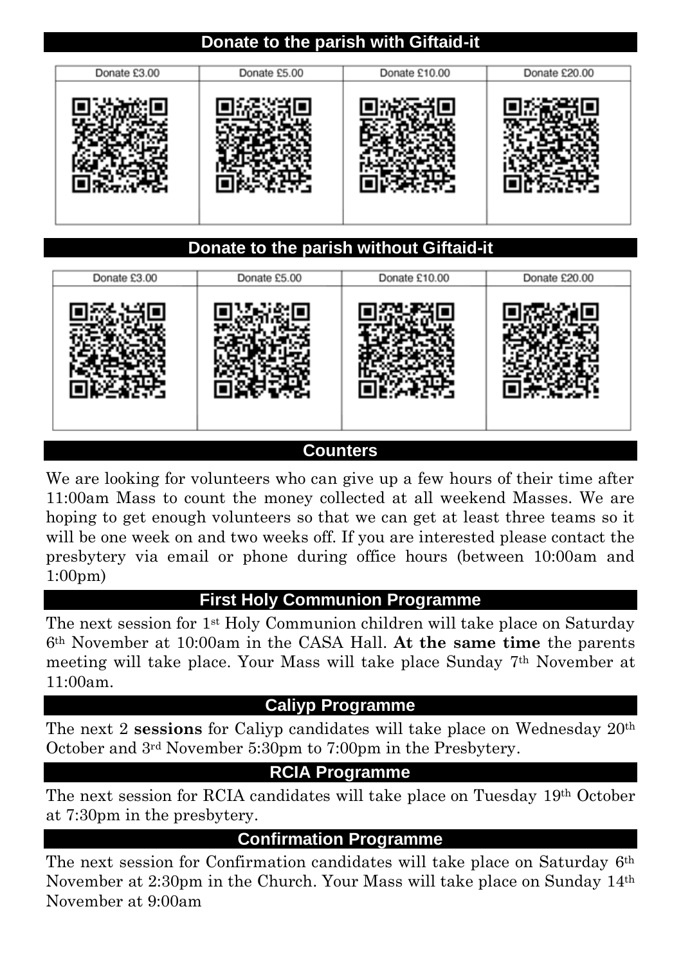### **Donate to the parish with Giftaid-it**

| Donate £3.00 | Donate £5.00 | Donate £10.00 | Donate £20.00 |
|--------------|--------------|---------------|---------------|
|              |              |               |               |

### **Donate to the parish without Giftaid-it**

| Donate £3.00 | Donate £5.00 | Donate £10.00 | Donate £20.00 |
|--------------|--------------|---------------|---------------|
|              |              |               |               |

#### **Counters**

We are looking for volunteers who can give up a few hours of their time after 11:00am Mass to count the money collected at all weekend Masses. We are hoping to get enough volunteers so that we can get at least three teams so it will be one week on and two weeks off. If you are interested please contact the presbytery via email or phone during office hours (between 10:00am and 1:00pm)

#### **First Holy Communion Programme**

The next session for 1st Holy Communion children will take place on Saturday 6th November at 10:00am in the CASA Hall. **At the same time** the parents meeting will take place. Your Mass will take place Sunday 7th November at 11:00am.

#### **Caliyp Programme**

The next 2 **sessions** for Caliyp candidates will take place on Wednesday 20th October and 3rd November 5:30pm to 7:00pm in the Presbytery.

#### **RCIA Programme**

The next session for RCIA candidates will take place on Tuesday 19th October at 7:30pm in the presbytery.

#### **Confirmation Programme**

The next session for Confirmation candidates will take place on Saturday 6th November at 2:30pm in the Church. Your Mass will take place on Sunday 14th November at 9:00am